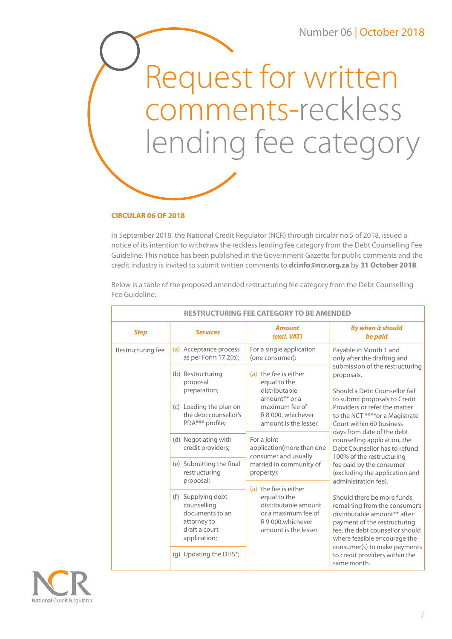Request for written comments-reckless lending fee category



## **CIRCULAR 06 OF 2018**

In September 2018, the National Credit Regulator (NCR) through circular no.5 of 2018, issued a notice of its intention to withdraw the reckless lending fee category from the Debt Counselling Fee Guideline. This notice has been published in the Government Gazette for public comments and the credit industry is invited to submit written comments to **dcinfo@ncr.org.za** by **31 October 2018**.

Below is a table of the proposed amended restructuring fee category from the Debt Counselling Fee Guideline:

| <b>RESTRUCTURING FEE CATEGORY TO BE AMENDED</b> |                                                                                                      |                                                                                                                                                                                                                                        |                                                                                                                                                                                                                                                                                                                                                                                                                                                                     |  |  |
|-------------------------------------------------|------------------------------------------------------------------------------------------------------|----------------------------------------------------------------------------------------------------------------------------------------------------------------------------------------------------------------------------------------|---------------------------------------------------------------------------------------------------------------------------------------------------------------------------------------------------------------------------------------------------------------------------------------------------------------------------------------------------------------------------------------------------------------------------------------------------------------------|--|--|
| <b>Step</b>                                     | <b>Services</b>                                                                                      | <b>Amount</b><br>(excl. VAT)                                                                                                                                                                                                           | <b>By when it should</b><br>be paid                                                                                                                                                                                                                                                                                                                                                                                                                                 |  |  |
| Restructuring fee                               | (a) Acceptance process<br>as per Form 17.2(b);                                                       | For a single application<br>(one consumer):                                                                                                                                                                                            | Payable in Month 1 and<br>only after the drafting and                                                                                                                                                                                                                                                                                                                                                                                                               |  |  |
|                                                 | (b) Restructuring<br>proposal<br>preparation;                                                        | submission of the restructuring<br>(a) the fee is either<br>proposals.<br>equal to the<br>distributable<br>amount <sup>**</sup> or a<br>to submit proposals to Credit<br>maximum fee of<br>R 8 000, whichever<br>amount is the lesser. | Should a Debt Counsellor fail                                                                                                                                                                                                                                                                                                                                                                                                                                       |  |  |
|                                                 | (c) Loading the plan on<br>the debt counsellor's<br>PDA*** profile;                                  |                                                                                                                                                                                                                                        | Providers or refer the matter<br>to the NCT **** or a Magistrate<br>Court within 60 business<br>days from date of the debt                                                                                                                                                                                                                                                                                                                                          |  |  |
|                                                 | (d) Negotiating with<br>credit providers;                                                            | For a joint<br>application(more than one<br>consumer and usually                                                                                                                                                                       | counselling application, the<br>Debt Counsellor has to refund<br>100% of the restructuring<br>fee paid by the consumer<br>(excluding the application and<br>administration fee).<br>Should there be more funds<br>remaining from the consumer's<br>distributable amount** after<br>payment of the restructuring<br>fee, the debt counsellor should<br>where feasible encourage the<br>consumer(s) to make payments<br>to credit providers within the<br>same month. |  |  |
|                                                 | (e) Submitting the final<br>restructuring<br>proposal;                                               | married in community of<br>property):<br>(a) the fee is either<br>equal to the<br>distributable amount<br>or a maximum fee of<br>R 9 000, whichever<br>amount is the lesser.                                                           |                                                                                                                                                                                                                                                                                                                                                                                                                                                                     |  |  |
|                                                 | (f) Supplying debt<br>counselling<br>documents to an<br>attorney to<br>draft a court<br>application; |                                                                                                                                                                                                                                        |                                                                                                                                                                                                                                                                                                                                                                                                                                                                     |  |  |
|                                                 | (g) Updating the DHS*;                                                                               |                                                                                                                                                                                                                                        |                                                                                                                                                                                                                                                                                                                                                                                                                                                                     |  |  |

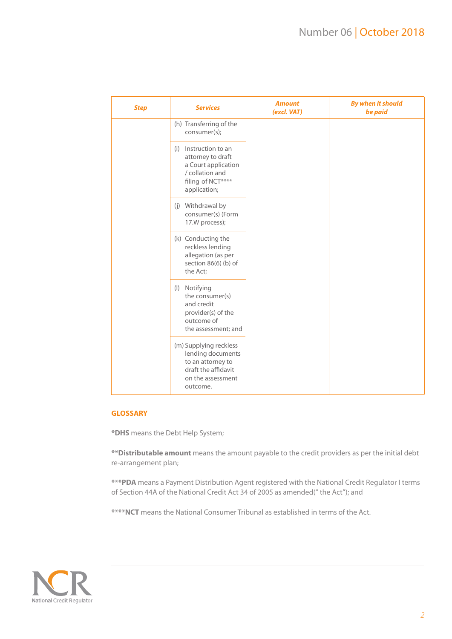| <b>Step</b> | <b>Services</b>                                                                                                           | <b>Amount</b><br>(excl. VAT) | <b>By when it should</b><br>be paid |
|-------------|---------------------------------------------------------------------------------------------------------------------------|------------------------------|-------------------------------------|
|             | (h) Transferring of the<br>consumer(s);                                                                                   |                              |                                     |
|             | (i) Instruction to an<br>attorney to draft<br>a Court application<br>/ collation and<br>filing of NCT****<br>application; |                              |                                     |
|             | (j) Withdrawal by<br>consumer(s) (Form<br>17.W process);                                                                  |                              |                                     |
|             | (k) Conducting the<br>reckless lending<br>allegation (as per<br>section 86(6) (b) of<br>the Act;                          |                              |                                     |
|             | (I) Notifying<br>the consumer(s)<br>and credit<br>provider(s) of the<br>outcome of<br>the assessment; and                 |                              |                                     |
|             | (m) Supplying reckless<br>lending documents<br>to an attorney to<br>draft the affidavit<br>on the assessment<br>outcome.  |                              |                                     |

## **GLOSSARY**

**\*DHS** means the Debt Help System;

**\*\*Distributable amount** means the amount payable to the credit providers as per the initial debt re-arrangement plan;

**\*\*\*PDA** means a Payment Distribution Agent registered with the National Credit Regulator I terms of Section 44A of the National Credit Act 34 of 2005 as amended(" the Act"); and

**\*\*\*\*NCT** means the National Consumer Tribunal as established in terms of the Act.